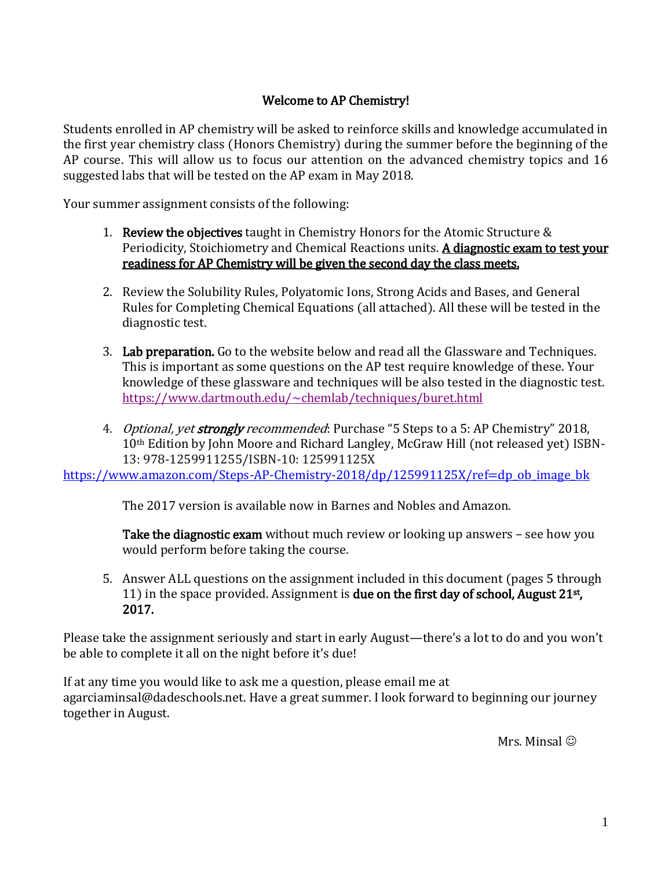### Welcome to AP Chemistry!

Students enrolled in AP chemistry will be asked to reinforce skills and knowledge accumulated in the first year chemistry class (Honors Chemistry) during the summer before the beginning of the AP course. This will allow us to focus our attention on the advanced chemistry topics and 16 suggested labs that will be tested on the AP exam in May 2018.

Your summer assignment consists of the following:

- 1. Review the objectives taught in Chemistry Honors for the Atomic Structure  $\&$ Periodicity, Stoichiometry and Chemical Reactions units. A diagnostic exam to test your readiness for AP Chemistry will be given the second day the class meets.
- 2. Review the Solubility Rules, Polyatomic Ions, Strong Acids and Bases, and General Rules for Completing Chemical Equations (all attached). All these will be tested in the diagnostic test.
- 3. Lab preparation. Go to the website below and read all the Glassware and Techniques. This is important as some questions on the AP test require knowledge of these. Your knowledge of these glassware and techniques will be also tested in the diagnostic test. <https://www.dartmouth.edu/~chemlab/techniques/buret.html>
- 4. *Optional, yet strongly recommended*: Purchase "5 Steps to a 5: AP Chemistry" 2018, 10th Edition by John Moore and Richard Langley, McGraw Hill (not released yet) ISBN-13: 978-1259911255/ISBN-10: 125991125X

[https://www.amazon.com/Steps-AP-Chemistry-2018/dp/125991125X/ref=dp\\_ob\\_image\\_bk](https://www.amazon.com/Steps-AP-Chemistry-2018/dp/125991125X/ref=dp_ob_image_bk)

The 2017 version is available now in Barnes and Nobles and Amazon.

Take the diagnostic exam without much review or looking up answers - see how you would perform before taking the course.

5. Answer ALL questions on the assignment included in this document (pages 5 through 11) in the space provided. Assignment is due on the first day of school, August 21<sup>st</sup>, 2017.

Please take the assignment seriously and start in early August—there's a lot to do and you won't be able to complete it all on the night before it's due!

If at any time you would like to ask me a question, please email me at agarciaminsal@dadeschools.net. Have a great summer. I look forward to beginning our journey together in August.

Mrs. Minsal  $\odot$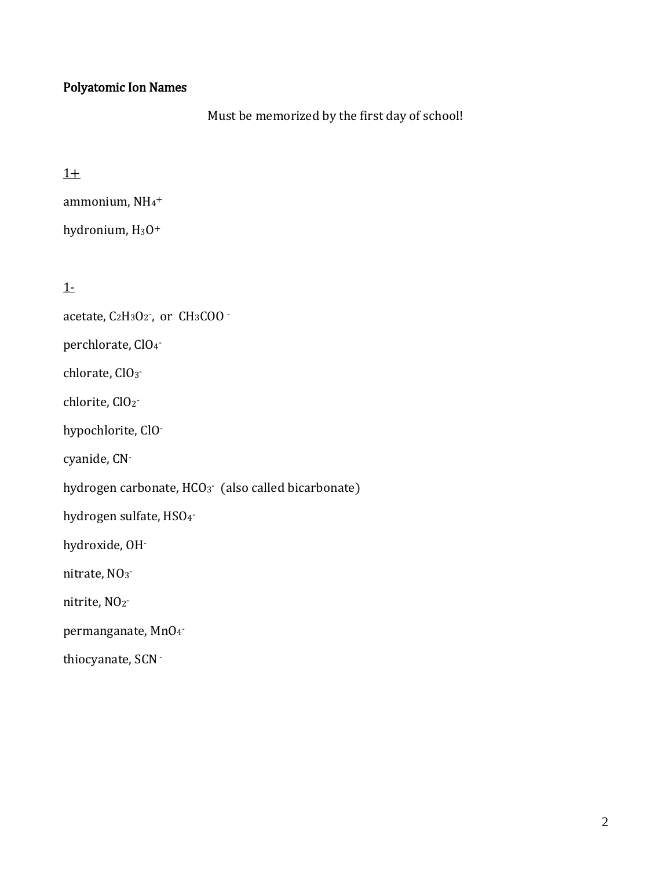### Polyatomic Ion Names

Must be memorized by the first day of school!

### $1+$

```
ammonium, NH4
+
```

```
hydronium, H<sub>3</sub>O<sup>+</sup>
```
### 1-

acetate, C2H3O2<sup>-</sup>, or CH3COO -

perchlorate, ClO<sup>4</sup> -

chlorate, ClO<sub>3</sub>-

chlorite, ClO<sub>2</sub>-

hypochlorite, ClO-

cyanide, CN-

hydrogen carbonate, HCO<sub>3</sub> (also called bicarbonate)

hydrogen sulfate, HSO4<sup>-</sup>

hydroxide, OH-

nitrate, NO<sub>3</sub>-

nitrite, NO<sub>2</sub>-

permanganate, MnO<sup>4</sup> -

thiocyanate, SCN-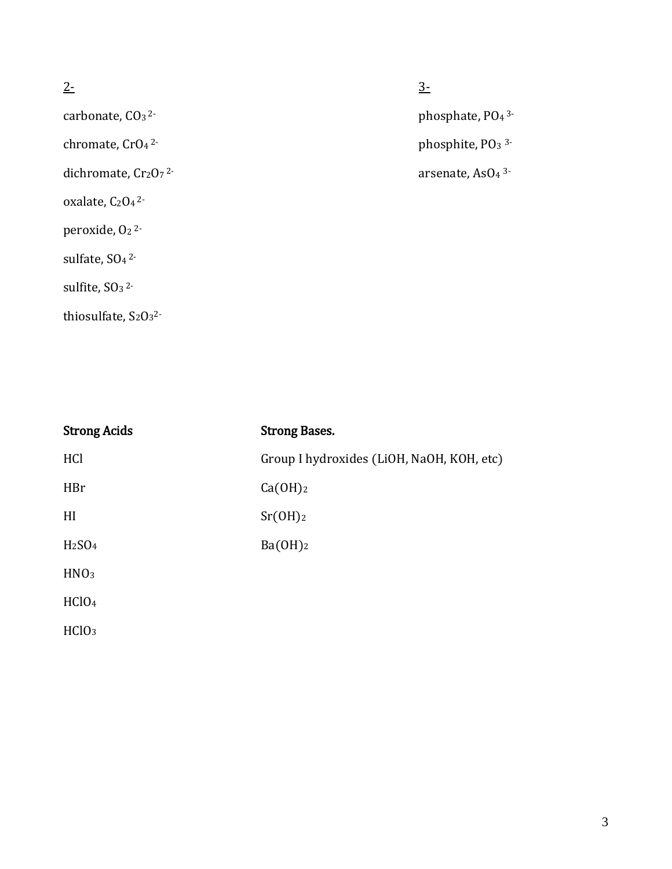- chromate, CrO<sub>4</sub><sup>2-</sup>
- dichromate, Cr2O7<sup>2-</sup>
- oxalate, C<sub>2</sub>O<sub>4</sub><sup>2</sup>-
- peroxide, O<sub>2</sub><sup>2</sup>-
- sulfate, SO<sub>4</sub><sup>2-</sup>
- sulfite,  $SO<sub>3</sub>$ <sup>2-</sup>
- thiosulfate,  $S_2O_3^2$ -

 $2 -$ 

carbonate, CO<sub>3</sub><sup>2</sup>- carbonate, PO<sub>4</sub><sup>3-</sup> phosphate, PO<sub>4</sub><sup>3-</sup>

phosphite, PO<sub>3</sub><sup>3-</sup>

arsenate, AsO<sub>4</sub> 3-

| <b>Strong Acids</b>            | <b>Strong Bases.</b>                      |
|--------------------------------|-------------------------------------------|
| HCl                            | Group I hydroxides (LiOH, NaOH, KOH, etc) |
| HBr                            | Ca(OH) <sub>2</sub>                       |
| HI                             | Sr(OH) <sub>2</sub>                       |
| H <sub>2</sub> SO <sub>4</sub> | Ba(OH) <sub>2</sub>                       |
| HNO <sub>3</sub>               |                                           |
| HC10 <sub>4</sub>              |                                           |
| HC1O <sub>3</sub>              |                                           |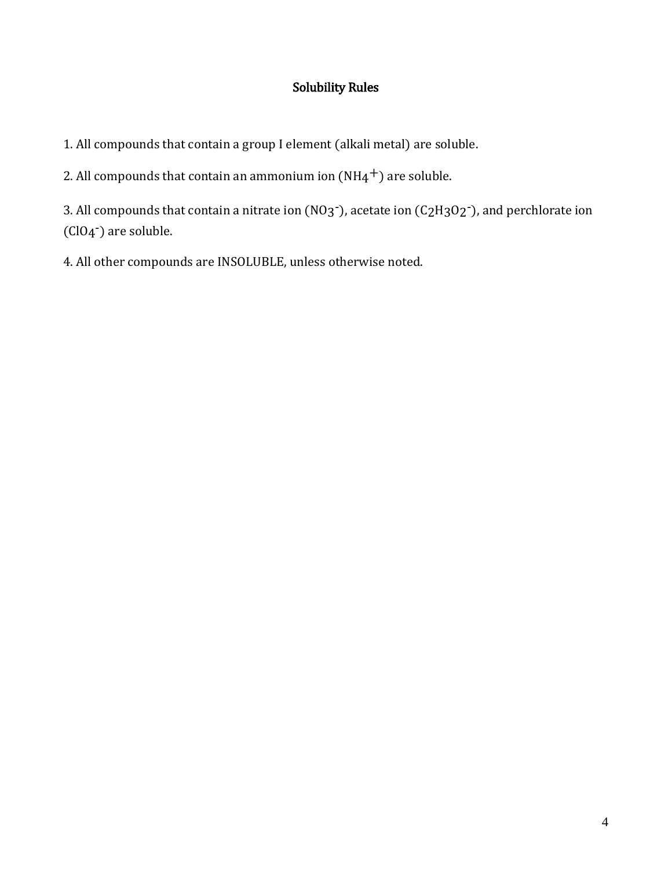## Solubility Rules

1. All compounds that contain a group I element (alkali metal) are soluble.

2. All compounds that contain an ammonium ion  $(NH4^+)$  are soluble.

3. All compounds that contain a nitrate ion (NO3<sup>-</sup>), acetate ion (C<sub>2</sub>H<sub>3</sub>O<sub>2</sub><sup>-</sup>), and perchlorate ion (ClO<sub>4</sub><sup>-</sup>) are soluble.

4. All other compounds are INSOLUBLE, unless otherwise noted.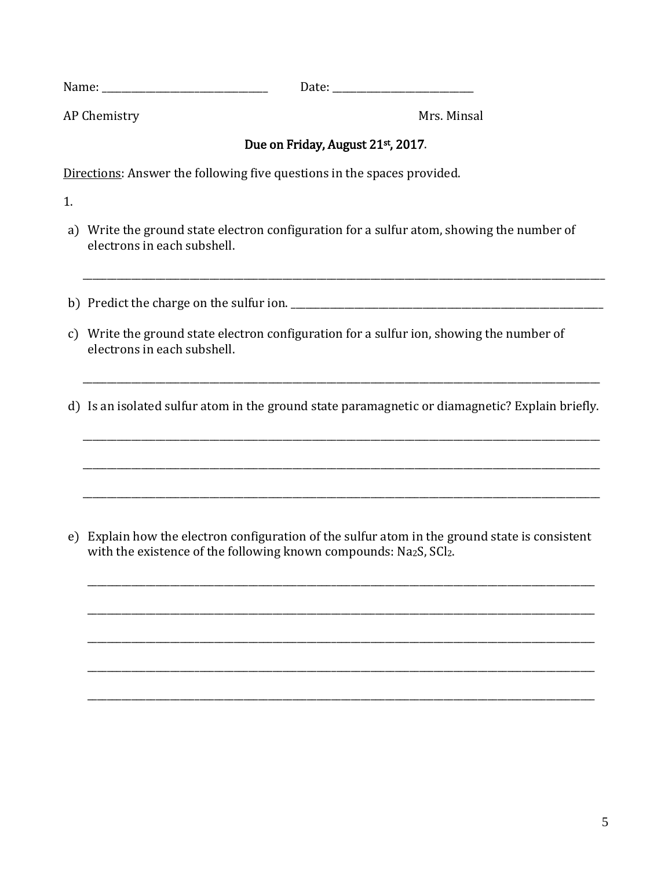| <b>RT</b><br>Name<br>_______ | ____ |
|------------------------------|------|
|                              |      |

AP Chemistry Mrs. Minsal

### Due on Friday, August 21st, 2017.

Directions: Answer the following five questions in the spaces provided.

1.

a) Write the ground state electron configuration for a sulfur atom, showing the number of electrons in each subshell.

\_\_\_\_\_\_\_\_\_\_\_\_\_\_\_\_\_\_\_\_\_\_\_\_\_\_\_\_\_\_\_\_\_\_\_\_\_\_\_\_\_\_\_\_\_\_\_\_\_\_\_\_\_\_\_\_\_\_\_\_\_\_\_\_\_\_\_\_\_\_\_\_\_\_\_\_\_\_\_\_\_\_\_\_\_\_\_\_\_\_\_\_\_\_\_\_\_\_\_\_\_\_\_\_\_\_\_

- b) Predict the charge on the sulfur ion.
- c) Write the ground state electron configuration for a sulfur ion, showing the number of electrons in each subshell.
- d) Is an isolated sulfur atom in the ground state paramagnetic or diamagnetic? Explain briefly.

\_\_\_\_\_\_\_\_\_\_\_\_\_\_\_\_\_\_\_\_\_\_\_\_\_\_\_\_\_\_\_\_\_\_\_\_\_\_\_\_\_\_\_\_\_\_\_\_\_\_\_\_\_\_\_\_\_\_\_\_\_\_\_\_\_\_\_\_\_\_\_\_\_\_\_\_\_\_\_\_\_\_\_\_\_\_\_\_\_\_\_\_\_\_\_\_\_\_\_\_\_\_\_\_\_\_

\_\_\_\_\_\_\_\_\_\_\_\_\_\_\_\_\_\_\_\_\_\_\_\_\_\_\_\_\_\_\_\_\_\_\_\_\_\_\_\_\_\_\_\_\_\_\_\_\_\_\_\_\_\_\_\_\_\_\_\_\_\_\_\_\_\_\_\_\_\_\_\_\_\_\_\_\_\_\_\_\_\_\_\_\_\_\_\_\_\_\_\_\_\_\_\_\_\_\_\_\_\_\_\_\_\_

\_\_\_\_\_\_\_\_\_\_\_\_\_\_\_\_\_\_\_\_\_\_\_\_\_\_\_\_\_\_\_\_\_\_\_\_\_\_\_\_\_\_\_\_\_\_\_\_\_\_\_\_\_\_\_\_\_\_\_\_\_\_\_\_\_\_\_\_\_\_\_\_\_\_\_\_\_\_\_\_\_\_\_\_\_\_\_\_\_\_\_\_\_\_\_\_\_\_\_\_\_\_\_\_\_\_

\_\_\_\_\_\_\_\_\_\_\_\_\_\_\_\_\_\_\_\_\_\_\_\_\_\_\_\_\_\_\_\_\_\_\_\_\_\_\_\_\_\_\_\_\_\_\_\_\_\_\_\_\_\_\_\_\_\_\_\_\_\_\_\_\_\_\_\_\_\_\_\_\_\_\_\_\_\_\_\_\_\_\_\_\_\_\_\_\_\_\_\_\_\_\_\_\_\_\_\_\_\_\_\_\_\_

\_\_\_\_\_\_\_\_\_\_\_\_\_\_\_\_\_\_\_\_\_\_\_\_\_\_\_\_\_\_\_\_\_\_\_\_\_\_\_\_\_\_\_\_\_\_\_\_\_\_\_\_\_\_\_\_\_\_\_\_\_\_\_\_\_\_\_\_\_\_\_\_\_\_\_\_\_\_\_\_\_\_\_\_\_\_\_\_\_\_\_\_\_\_\_\_\_\_\_\_\_\_\_\_

\_\_\_\_\_\_\_\_\_\_\_\_\_\_\_\_\_\_\_\_\_\_\_\_\_\_\_\_\_\_\_\_\_\_\_\_\_\_\_\_\_\_\_\_\_\_\_\_\_\_\_\_\_\_\_\_\_\_\_\_\_\_\_\_\_\_\_\_\_\_\_\_\_\_\_\_\_\_\_\_\_\_\_\_\_\_\_\_\_\_\_\_\_\_\_\_\_\_\_\_\_\_\_\_

\_\_\_\_\_\_\_\_\_\_\_\_\_\_\_\_\_\_\_\_\_\_\_\_\_\_\_\_\_\_\_\_\_\_\_\_\_\_\_\_\_\_\_\_\_\_\_\_\_\_\_\_\_\_\_\_\_\_\_\_\_\_\_\_\_\_\_\_\_\_\_\_\_\_\_\_\_\_\_\_\_\_\_\_\_\_\_\_\_\_\_\_\_\_\_\_\_\_\_\_\_\_\_\_

\_\_\_\_\_\_\_\_\_\_\_\_\_\_\_\_\_\_\_\_\_\_\_\_\_\_\_\_\_\_\_\_\_\_\_\_\_\_\_\_\_\_\_\_\_\_\_\_\_\_\_\_\_\_\_\_\_\_\_\_\_\_\_\_\_\_\_\_\_\_\_\_\_\_\_\_\_\_\_\_\_\_\_\_\_\_\_\_\_\_\_\_\_\_\_\_\_\_\_\_\_\_\_\_

\_\_\_\_\_\_\_\_\_\_\_\_\_\_\_\_\_\_\_\_\_\_\_\_\_\_\_\_\_\_\_\_\_\_\_\_\_\_\_\_\_\_\_\_\_\_\_\_\_\_\_\_\_\_\_\_\_\_\_\_\_\_\_\_\_\_\_\_\_\_\_\_\_\_\_\_\_\_\_\_\_\_\_\_\_\_\_\_\_\_\_\_\_\_\_\_\_\_\_\_\_\_\_\_

e) Explain how the electron configuration of the sulfur atom in the ground state is consistent with the existence of the following known compounds: Na2S, SCl2.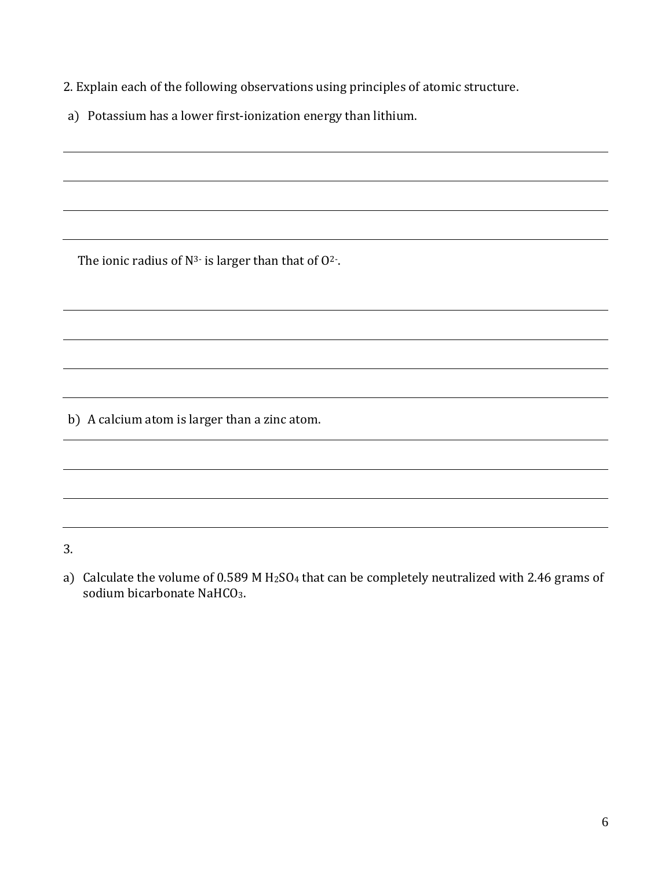2. Explain each of the following observations using principles of atomic structure.

a) Potassium has a lower first-ionization energy than lithium.

The ionic radius of  $N^{3}$  is larger than that of  $O^2$ .

b) A calcium atom is larger than a zinc atom.

3.

a) Calculate the volume of 0.589 M H<sub>2</sub>SO<sub>4</sub> that can be completely neutralized with 2.46 grams of sodium bicarbonate NaHCO<sub>3</sub>.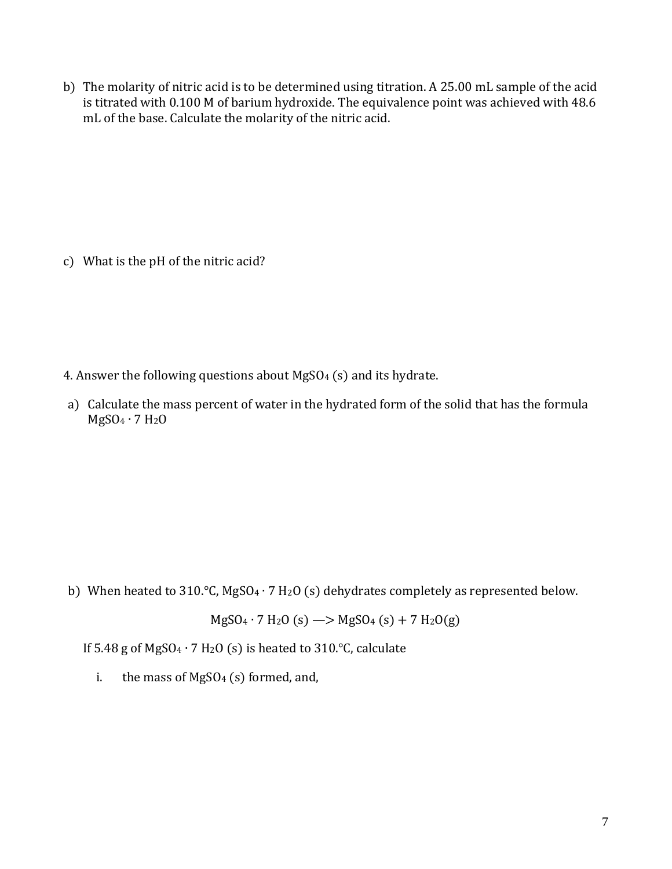b) The molarity of nitric acid is to be determined using titration. A 25.00 mL sample of the acid is titrated with 0.100 M of barium hydroxide. The equivalence point was achieved with 48.6 mL of the base. Calculate the molarity of the nitric acid.

c) What is the pH of the nitric acid?

- 4. Answer the following questions about  $MgSO_4$  (s) and its hydrate.
- a) Calculate the mass percent of water in the hydrated form of the solid that has the formula MgSO<sup>4</sup> ∙ 7 H2O

b) When heated to 310.°C, MgSO<sup>4</sup> ∙ 7 H2O (s) dehydrates completely as represented below.

 $MgSO_4 \cdot 7 H_2O (s) \rightarrow MgSO_4 (s) + 7 H_2O (g)$ 

If 5.48 g of MgSO<sub>4</sub> ⋅ 7 H<sub>2</sub>O (s) is heated to 310. $\degree$ C, calculate

i. the mass of MgSO<sub>4</sub> (s) formed, and,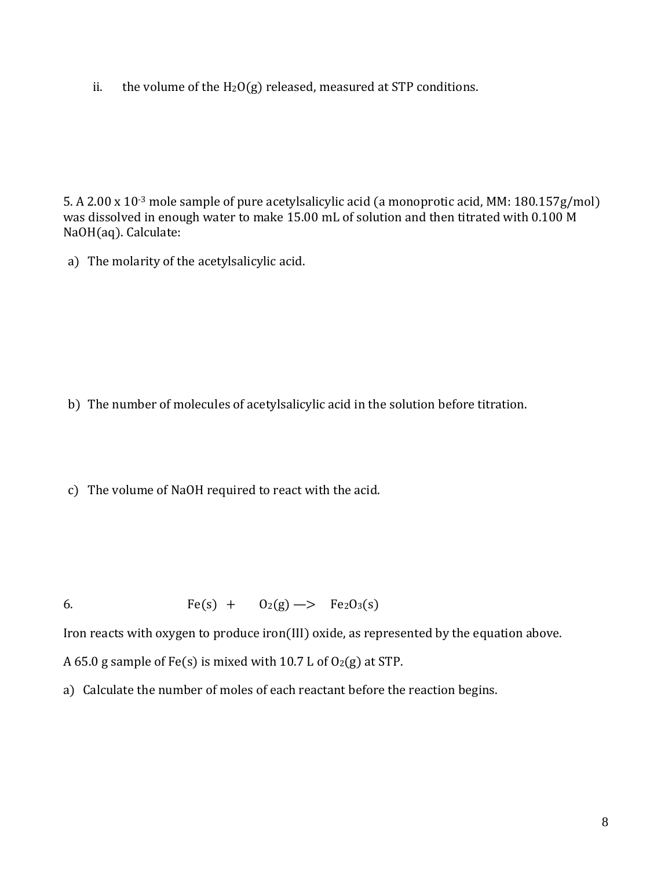ii. the volume of the  $H_2O(g)$  released, measured at STP conditions.

5. A 2.00 x 10-3 mole sample of pure acetylsalicylic acid (a monoprotic acid, MM: 180.157g/mol) was dissolved in enough water to make 15.00 mL of solution and then titrated with 0.100 M NaOH(aq). Calculate:

a) The molarity of the acetylsalicylic acid.

b) The number of molecules of acetylsalicylic acid in the solution before titration.

c) The volume of NaOH required to react with the acid.

6. Fe(s) +  $O_2(g) \rightarrow Pe_2O_3(s)$ 

Iron reacts with oxygen to produce iron(III) oxide, as represented by the equation above.

A 65.0 g sample of Fe(s) is mixed with 10.7 L of  $O_2(g)$  at STP.

a) Calculate the number of moles of each reactant before the reaction begins.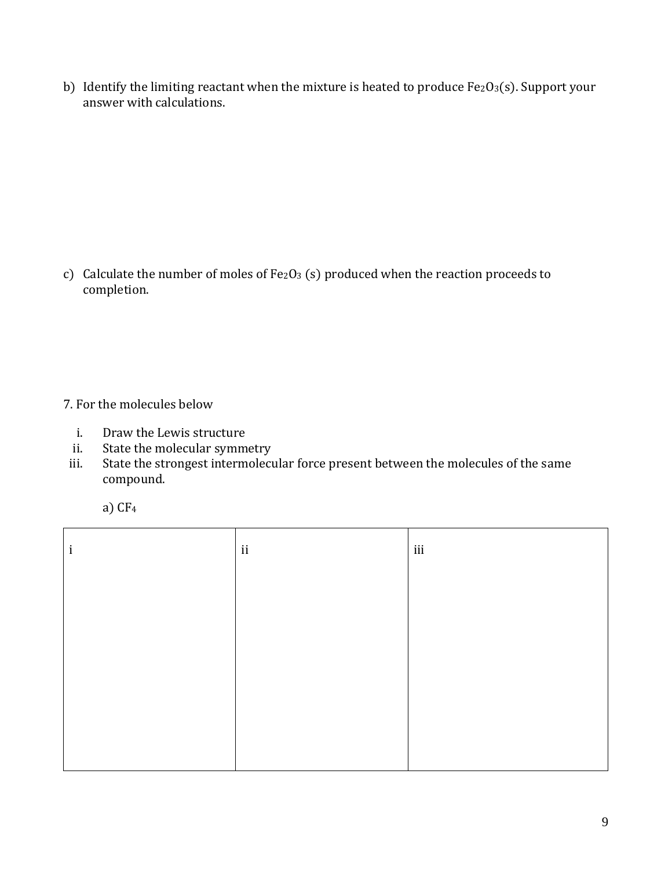b) Identify the limiting reactant when the mixture is heated to produce  $Fe<sub>2</sub>O<sub>3</sub>(s)$ . Support your answer with calculations.

c) Calculate the number of moles of Fe2O3 (s) produced when the reaction proceeds to completion.

- 7. For the molecules below
	- i. Draw the Lewis structure
	- ii. State the molecular symmetry
- iii. State the strongest intermolecular force present between the molecules of the same compound.

|  | ۰. |
|--|----|
|--|----|

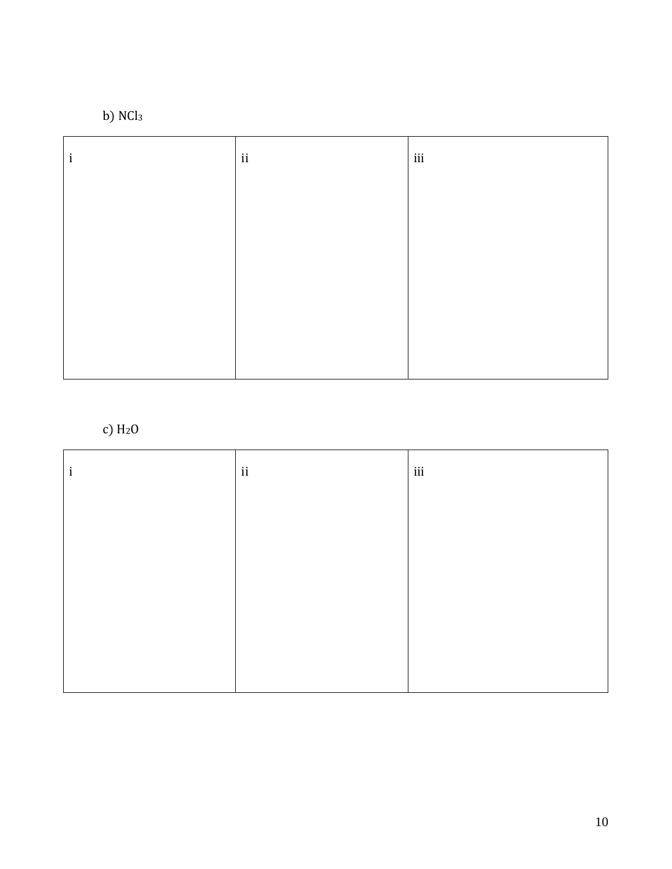

| 1 | $\mathbf{ii}$ | iii |
|---|---------------|-----|
|   |               |     |
|   |               |     |
|   |               |     |
|   |               |     |
|   |               |     |

# c)  $H<sub>2</sub>0$

| $\mathbf{i}$ | $\,$ ii | iii |
|--------------|---------|-----|
|              |         |     |
|              |         |     |
|              |         |     |
|              |         |     |
|              |         |     |